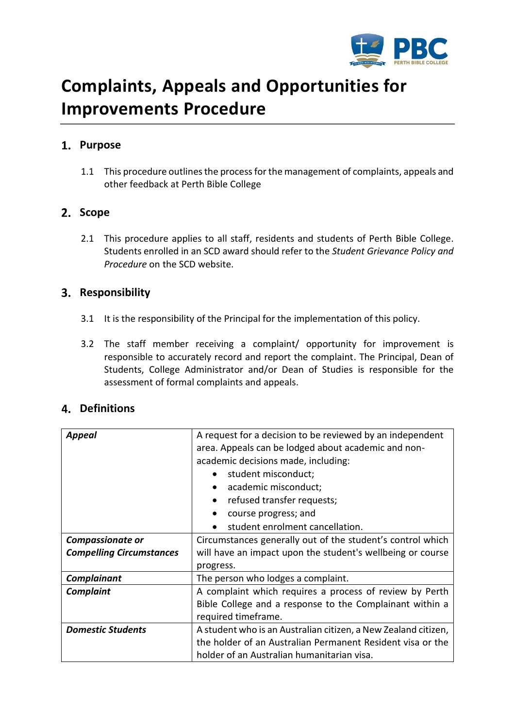

# **Complaints, Appeals and Opportunities for Improvements Procedure**

# **Purpose**

1.1 This procedure outlines the process for the management of complaints, appeals and other feedback at Perth Bible College

## 2. Scope

2.1 This procedure applies to all staff, residents and students of Perth Bible College. Students enrolled in an SCD award should refer to the *Student Grievance Policy and Procedure* on the SCD website.

# **Responsibility**

- 3.1 It is the responsibility of the Principal for the implementation of this policy.
- 3.2 The staff member receiving a complaint/ opportunity for improvement is responsible to accurately record and report the complaint. The Principal, Dean of Students, College Administrator and/or Dean of Studies is responsible for the assessment of formal complaints and appeals.

# **Definitions**

| <b>Appeal</b>                   | A request for a decision to be reviewed by an independent<br>area. Appeals can be lodged about academic and non- |  |  |  |  |
|---------------------------------|------------------------------------------------------------------------------------------------------------------|--|--|--|--|
|                                 | academic decisions made, including:                                                                              |  |  |  |  |
|                                 | student misconduct;                                                                                              |  |  |  |  |
|                                 | academic misconduct;<br>$\bullet$                                                                                |  |  |  |  |
|                                 | refused transfer requests;<br>$\bullet$                                                                          |  |  |  |  |
|                                 | course progress; and                                                                                             |  |  |  |  |
|                                 | student enrolment cancellation.                                                                                  |  |  |  |  |
| <b>Compassionate or</b>         | Circumstances generally out of the student's control which                                                       |  |  |  |  |
| <b>Compelling Circumstances</b> | will have an impact upon the student's wellbeing or course                                                       |  |  |  |  |
|                                 | progress.                                                                                                        |  |  |  |  |
| Complainant                     | The person who lodges a complaint.                                                                               |  |  |  |  |
| <b>Complaint</b>                | A complaint which requires a process of review by Perth                                                          |  |  |  |  |
|                                 | Bible College and a response to the Complainant within a                                                         |  |  |  |  |
|                                 | required timeframe.                                                                                              |  |  |  |  |
| <b>Domestic Students</b>        | A student who is an Australian citizen, a New Zealand citizen,                                                   |  |  |  |  |
|                                 | the holder of an Australian Permanent Resident visa or the                                                       |  |  |  |  |
|                                 | holder of an Australian humanitarian visa.                                                                       |  |  |  |  |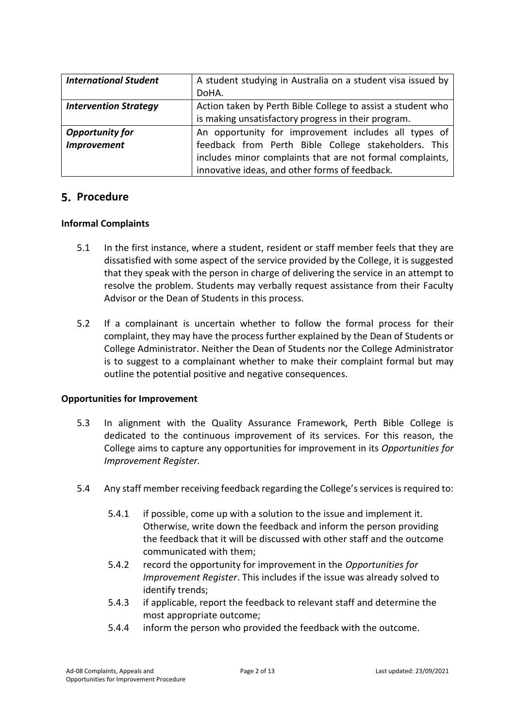| <b>International Student</b> | A student studying in Australia on a student visa issued by |  |  |
|------------------------------|-------------------------------------------------------------|--|--|
|                              | DoHA.                                                       |  |  |
| <b>Intervention Strategy</b> | Action taken by Perth Bible College to assist a student who |  |  |
|                              | is making unsatisfactory progress in their program.         |  |  |
| <b>Opportunity for</b>       | An opportunity for improvement includes all types of        |  |  |
| <b>Improvement</b>           | feedback from Perth Bible College stakeholders. This        |  |  |
|                              | includes minor complaints that are not formal complaints,   |  |  |
|                              | innovative ideas, and other forms of feedback.              |  |  |

## **5. Procedure**

#### **Informal Complaints**

- 5.1 In the first instance, where a student, resident or staff member feels that they are dissatisfied with some aspect of the service provided by the College, it is suggested that they speak with the person in charge of delivering the service in an attempt to resolve the problem. Students may verbally request assistance from their Faculty Advisor or the Dean of Students in this process.
- 5.2 If a complainant is uncertain whether to follow the formal process for their complaint, they may have the process further explained by the Dean of Students or College Administrator. Neither the Dean of Students nor the College Administrator is to suggest to a complainant whether to make their complaint formal but may outline the potential positive and negative consequences.

#### **Opportunities for Improvement**

- 5.3 In alignment with the Quality Assurance Framework, Perth Bible College is dedicated to the continuous improvement of its services. For this reason, the College aims to capture any opportunities for improvement in its *Opportunities for Improvement Register.*
- 5.4 Any staff member receiving feedback regarding the College's services is required to:
	- 5.4.1 if possible, come up with a solution to the issue and implement it. Otherwise, write down the feedback and inform the person providing the feedback that it will be discussed with other staff and the outcome communicated with them;
	- 5.4.2 record the opportunity for improvement in the *Opportunities for Improvement Register*. This includes if the issue was already solved to identify trends;
	- 5.4.3 if applicable, report the feedback to relevant staff and determine the most appropriate outcome;
	- 5.4.4 inform the person who provided the feedback with the outcome.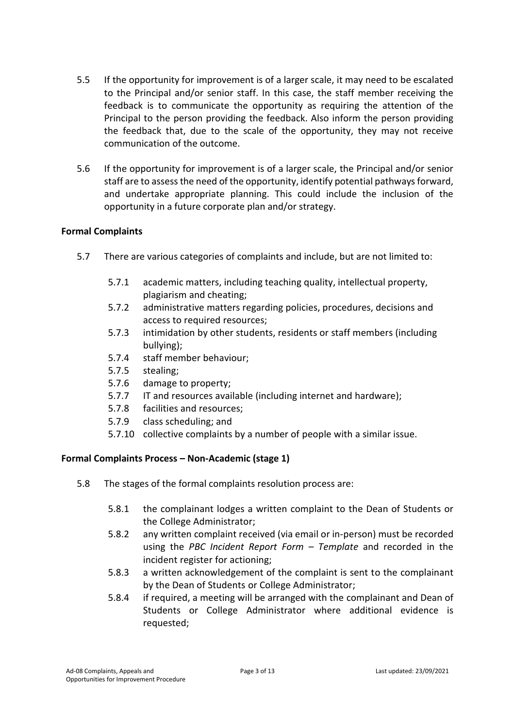- 5.5 If the opportunity for improvement is of a larger scale, it may need to be escalated to the Principal and/or senior staff. In this case, the staff member receiving the feedback is to communicate the opportunity as requiring the attention of the Principal to the person providing the feedback. Also inform the person providing the feedback that, due to the scale of the opportunity, they may not receive communication of the outcome.
- 5.6 If the opportunity for improvement is of a larger scale, the Principal and/or senior staff are to assess the need of the opportunity, identify potential pathways forward, and undertake appropriate planning. This could include the inclusion of the opportunity in a future corporate plan and/or strategy.

## **Formal Complaints**

- 5.7 There are various categories of complaints and include, but are not limited to:
	- 5.7.1 academic matters, including teaching quality, intellectual property, plagiarism and cheating;
	- 5.7.2 administrative matters regarding policies, procedures, decisions and access to required resources;
	- 5.7.3 intimidation by other students, residents or staff members (including bullying);
	- 5.7.4 staff member behaviour;
	- 5.7.5 stealing;
	- 5.7.6 damage to property;
	- 5.7.7 IT and resources available (including internet and hardware);
	- 5.7.8 facilities and resources;
	- 5.7.9 class scheduling; and
	- 5.7.10 collective complaints by a number of people with a similar issue.

## **Formal Complaints Process – Non-Academic (stage 1)**

- 5.8 The stages of the formal complaints resolution process are:
	- 5.8.1 the complainant lodges a written complaint to the Dean of Students or the College Administrator;
	- 5.8.2 any written complaint received (via email or in-person) must be recorded using the *PBC Incident Report Form – Template* and recorded in the incident register for actioning;
	- 5.8.3 a written acknowledgement of the complaint is sent to the complainant by the Dean of Students or College Administrator;
	- 5.8.4 if required, a meeting will be arranged with the complainant and Dean of Students or College Administrator where additional evidence is requested;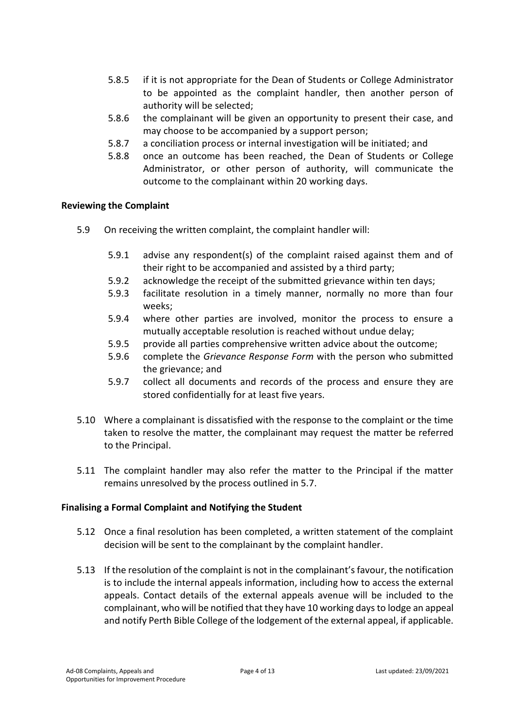- 5.8.5 if it is not appropriate for the Dean of Students or College Administrator to be appointed as the complaint handler, then another person of authority will be selected;
- 5.8.6 the complainant will be given an opportunity to present their case, and may choose to be accompanied by a support person;
- 5.8.7 a conciliation process or internal investigation will be initiated; and
- 5.8.8 once an outcome has been reached, the Dean of Students or College Administrator, or other person of authority, will communicate the outcome to the complainant within 20 working days.

#### **Reviewing the Complaint**

- 5.9 On receiving the written complaint, the complaint handler will:
	- 5.9.1 advise any respondent(s) of the complaint raised against them and of their right to be accompanied and assisted by a third party;
	- 5.9.2 acknowledge the receipt of the submitted grievance within ten days;
	- 5.9.3 facilitate resolution in a timely manner, normally no more than four weeks;
	- 5.9.4 where other parties are involved, monitor the process to ensure a mutually acceptable resolution is reached without undue delay;
	- 5.9.5 provide all parties comprehensive written advice about the outcome;
	- 5.9.6 complete the *Grievance Response Form* with the person who submitted the grievance; and
	- 5.9.7 collect all documents and records of the process and ensure they are stored confidentially for at least five years.
- 5.10 Where a complainant is dissatisfied with the response to the complaint or the time taken to resolve the matter, the complainant may request the matter be referred to the Principal.
- 5.11 The complaint handler may also refer the matter to the Principal if the matter remains unresolved by the process outlined in 5.7.

## **Finalising a Formal Complaint and Notifying the Student**

- 5.12 Once a final resolution has been completed, a written statement of the complaint decision will be sent to the complainant by the complaint handler.
- 5.13 If the resolution of the complaint is not in the complainant'sfavour, the notification is to include the internal appeals information, including how to access the external appeals. Contact details of the external appeals avenue will be included to the complainant, who will be notified that they have 10 working days to lodge an appeal and notify Perth Bible College of the lodgement of the external appeal, if applicable.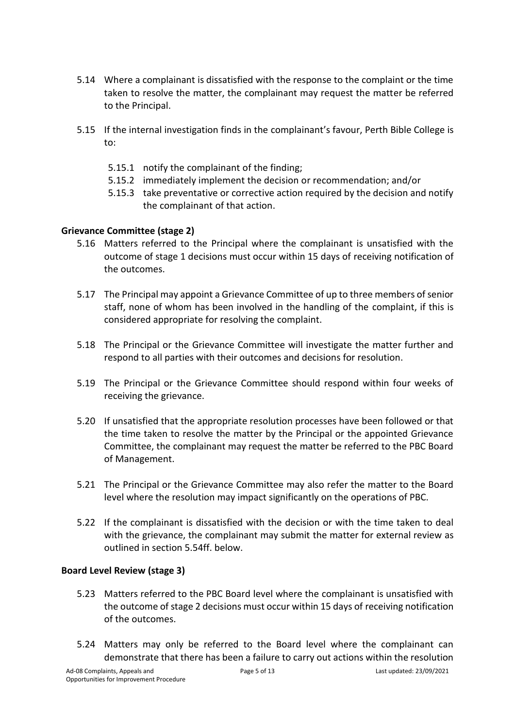- 5.14 Where a complainant is dissatisfied with the response to the complaint or the time taken to resolve the matter, the complainant may request the matter be referred to the Principal.
- 5.15 If the internal investigation finds in the complainant's favour, Perth Bible College is to:
	- 5.15.1 notify the complainant of the finding;
	- 5.15.2 immediately implement the decision or recommendation; and/or
	- 5.15.3 take preventative or corrective action required by the decision and notify the complainant of that action.

## **Grievance Committee (stage 2)**

- 5.16 Matters referred to the Principal where the complainant is unsatisfied with the outcome of stage 1 decisions must occur within 15 days of receiving notification of the outcomes.
- 5.17 The Principal may appoint a Grievance Committee of up to three members of senior staff, none of whom has been involved in the handling of the complaint, if this is considered appropriate for resolving the complaint.
- 5.18 The Principal or the Grievance Committee will investigate the matter further and respond to all parties with their outcomes and decisions for resolution.
- 5.19 The Principal or the Grievance Committee should respond within four weeks of receiving the grievance.
- 5.20 If unsatisfied that the appropriate resolution processes have been followed or that the time taken to resolve the matter by the Principal or the appointed Grievance Committee, the complainant may request the matter be referred to the PBC Board of Management.
- 5.21 The Principal or the Grievance Committee may also refer the matter to the Board level where the resolution may impact significantly on the operations of PBC.
- 5.22 If the complainant is dissatisfied with the decision or with the time taken to deal with the grievance, the complainant may submit the matter for external review as outlined in section 5.54ff. below.

## **Board Level Review (stage 3)**

- 5.23 Matters referred to the PBC Board level where the complainant is unsatisfied with the outcome of stage 2 decisions must occur within 15 days of receiving notification of the outcomes.
- 5.24 Matters may only be referred to the Board level where the complainant can demonstrate that there has been a failure to carry out actions within the resolution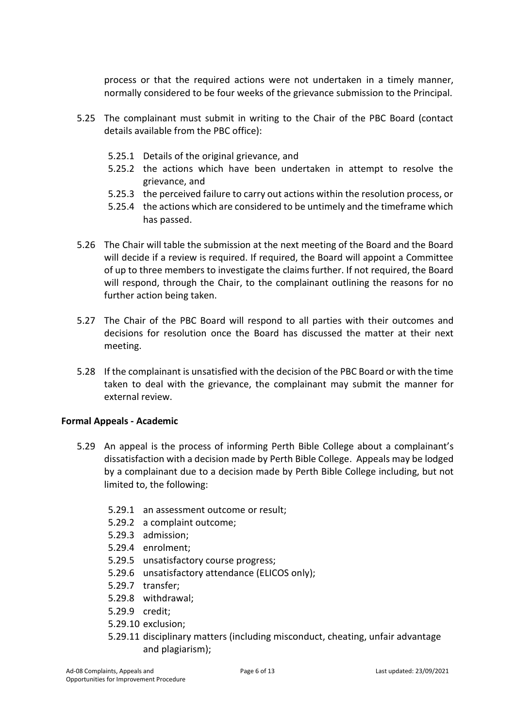process or that the required actions were not undertaken in a timely manner, normally considered to be four weeks of the grievance submission to the Principal.

- 5.25 The complainant must submit in writing to the Chair of the PBC Board (contact details available from the PBC office):
	- 5.25.1 Details of the original grievance, and
	- 5.25.2 the actions which have been undertaken in attempt to resolve the grievance, and
	- 5.25.3 the perceived failure to carry out actions within the resolution process, or
	- 5.25.4 the actions which are considered to be untimely and the timeframe which has passed.
- 5.26 The Chair will table the submission at the next meeting of the Board and the Board will decide if a review is required. If required, the Board will appoint a Committee of up to three members to investigate the claims further. If not required, the Board will respond, through the Chair, to the complainant outlining the reasons for no further action being taken.
- 5.27 The Chair of the PBC Board will respond to all parties with their outcomes and decisions for resolution once the Board has discussed the matter at their next meeting.
- 5.28 If the complainant is unsatisfied with the decision of the PBC Board or with the time taken to deal with the grievance, the complainant may submit the manner for external review.

## **Formal Appeals - Academic**

- 5.29 An appeal is the process of informing Perth Bible College about a complainant's dissatisfaction with a decision made by Perth Bible College. Appeals may be lodged by a complainant due to a decision made by Perth Bible College including, but not limited to, the following:
	- 5.29.1 an assessment outcome or result;
	- 5.29.2 a complaint outcome;
	- 5.29.3 admission;
	- 5.29.4 enrolment;
	- 5.29.5 unsatisfactory course progress;
	- 5.29.6 unsatisfactory attendance (ELICOS only);
	- 5.29.7 transfer;
	- 5.29.8 withdrawal;
	- 5.29.9 credit;
	- 5.29.10 exclusion;
	- 5.29.11 disciplinary matters (including misconduct, cheating, unfair advantage and plagiarism);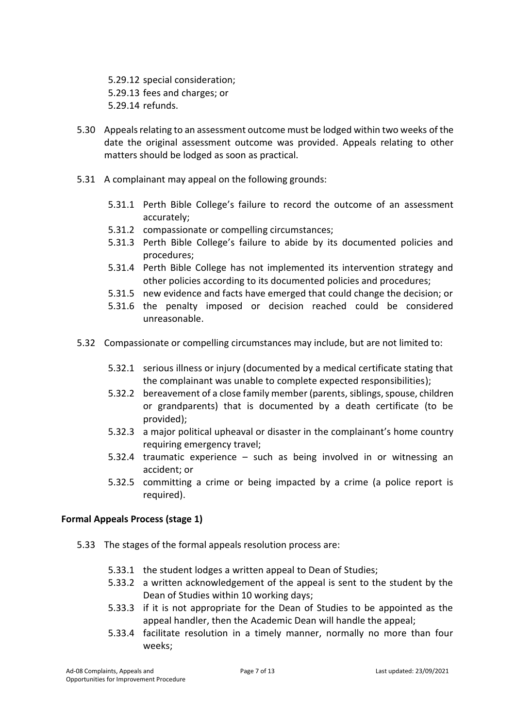5.29.12 special consideration; 5.29.13 fees and charges; or 5.29.14 refunds.

- 5.30 Appeals relating to an assessment outcome must be lodged within two weeks of the date the original assessment outcome was provided. Appeals relating to other matters should be lodged as soon as practical.
- 5.31 A complainant may appeal on the following grounds:
	- 5.31.1 Perth Bible College's failure to record the outcome of an assessment accurately;
	- 5.31.2 compassionate or compelling circumstances;
	- 5.31.3 Perth Bible College's failure to abide by its documented policies and procedures;
	- 5.31.4 Perth Bible College has not implemented its intervention strategy and other policies according to its documented policies and procedures;
	- 5.31.5 new evidence and facts have emerged that could change the decision; or
	- 5.31.6 the penalty imposed or decision reached could be considered unreasonable.
- 5.32 Compassionate or compelling circumstances may include, but are not limited to:
	- 5.32.1 serious illness or injury (documented by a medical certificate stating that the complainant was unable to complete expected responsibilities);
	- 5.32.2 bereavement of a close family member (parents, siblings, spouse, children or grandparents) that is documented by a death certificate (to be provided);
	- 5.32.3 a major political upheaval or disaster in the complainant's home country requiring emergency travel;
	- 5.32.4 traumatic experience such as being involved in or witnessing an accident; or
	- 5.32.5 committing a crime or being impacted by a crime (a police report is required).

## **Formal Appeals Process (stage 1)**

- 5.33 The stages of the formal appeals resolution process are:
	- 5.33.1 the student lodges a written appeal to Dean of Studies;
	- 5.33.2 a written acknowledgement of the appeal is sent to the student by the Dean of Studies within 10 working days;
	- 5.33.3 if it is not appropriate for the Dean of Studies to be appointed as the appeal handler, then the Academic Dean will handle the appeal;
	- 5.33.4 facilitate resolution in a timely manner, normally no more than four weeks;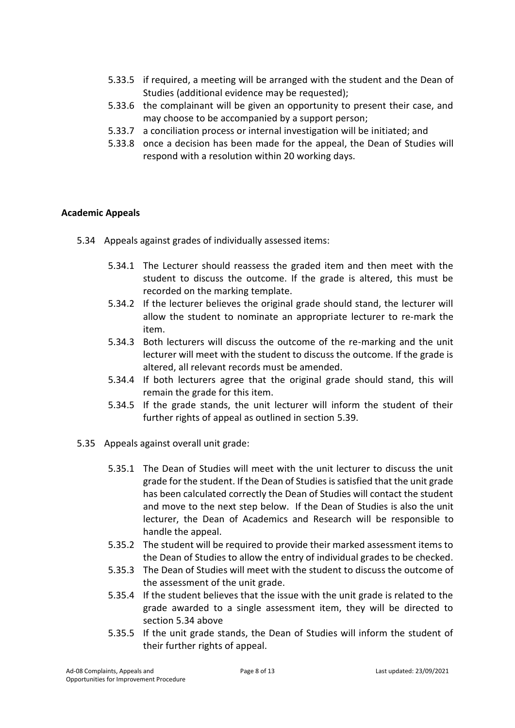- 5.33.5 if required, a meeting will be arranged with the student and the Dean of Studies (additional evidence may be requested);
- 5.33.6 the complainant will be given an opportunity to present their case, and may choose to be accompanied by a support person;
- 5.33.7 a conciliation process or internal investigation will be initiated; and
- 5.33.8 once a decision has been made for the appeal, the Dean of Studies will respond with a resolution within 20 working days.

## **Academic Appeals**

- <span id="page-7-0"></span>5.34 Appeals against grades of individually assessed items:
	- 5.34.1 The Lecturer should reassess the graded item and then meet with the student to discuss the outcome. If the grade is altered, this must be recorded on the marking template.
	- 5.34.2 If the lecturer believes the original grade should stand, the lecturer will allow the student to nominate an appropriate lecturer to re-mark the item.
	- 5.34.3 Both lecturers will discuss the outcome of the re-marking and the unit lecturer will meet with the student to discuss the outcome. If the grade is altered, all relevant records must be amended.
	- 5.34.4 If both lecturers agree that the original grade should stand, this will remain the grade for this item.
	- 5.34.5 If the grade stands, the unit lecturer will inform the student of their further rights of appeal as outlined in section 5.39.
- <span id="page-7-1"></span>5.35 Appeals against overall unit grade:
	- 5.35.1 The Dean of Studies will meet with the unit lecturer to discuss the unit grade for the student. If the Dean of Studies is satisfied that the unit grade has been calculated correctly the Dean of Studies will contact the student and move to the next step below. If the Dean of Studies is also the unit lecturer, the Dean of Academics and Research will be responsible to handle the appeal.
	- 5.35.2 The student will be required to provide their marked assessment items to the Dean of Studies to allow the entry of individual grades to be checked.
	- 5.35.3 The Dean of Studies will meet with the student to discuss the outcome of the assessment of the unit grade.
	- 5.35.4 If the student believes that the issue with the unit grade is related to the grade awarded to a single assessment item, they will be directed to section [5.34 above](#page-7-0)
	- 5.35.5 If the unit grade stands, the Dean of Studies will inform the student of their further rights of appeal.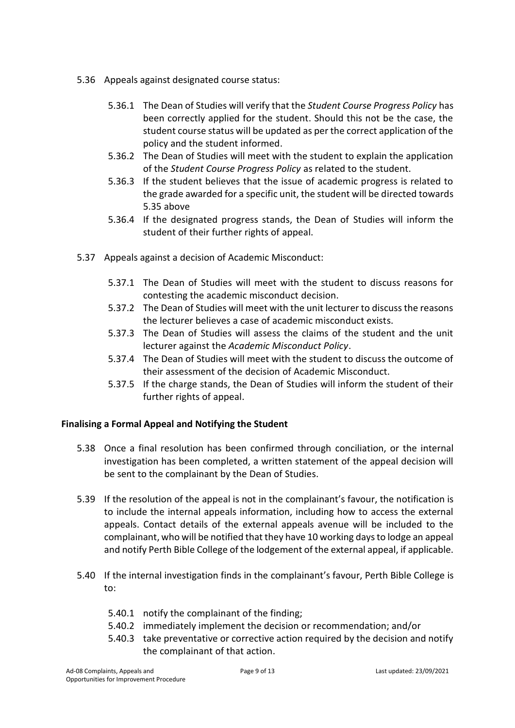- 5.36 Appeals against designated course status:
	- 5.36.1 The Dean of Studies will verify that the *Student Course Progress Policy* has been correctly applied for the student. Should this not be the case, the student course status will be updated as per the correct application of the policy and the student informed.
	- 5.36.2 The Dean of Studies will meet with the student to explain the application of the *Student Course Progress Policy* as related to the student.
	- 5.36.3 If the student believes that the issue of academic progress is related to the grade awarded for a specific unit, the student will be directed towards [5.35 above](#page-7-1)
	- 5.36.4 If the designated progress stands, the Dean of Studies will inform the student of their further rights of appeal.
- 5.37 Appeals against a decision of Academic Misconduct:
	- 5.37.1 The Dean of Studies will meet with the student to discuss reasons for contesting the academic misconduct decision.
	- 5.37.2 The Dean of Studies will meet with the unit lecturer to discuss the reasons the lecturer believes a case of academic misconduct exists.
	- 5.37.3 The Dean of Studies will assess the claims of the student and the unit lecturer against the *Academic Misconduct Policy*.
	- 5.37.4 The Dean of Studies will meet with the student to discuss the outcome of their assessment of the decision of Academic Misconduct.
	- 5.37.5 If the charge stands, the Dean of Studies will inform the student of their further rights of appeal.

#### **Finalising a Formal Appeal and Notifying the Student**

- 5.38 Once a final resolution has been confirmed through conciliation, or the internal investigation has been completed, a written statement of the appeal decision will be sent to the complainant by the Dean of Studies.
- 5.39 If the resolution of the appeal is not in the complainant's favour, the notification is to include the internal appeals information, including how to access the external appeals. Contact details of the external appeals avenue will be included to the complainant, who will be notified that they have 10 working days to lodge an appeal and notify Perth Bible College of the lodgement of the external appeal, if applicable.
- 5.40 If the internal investigation finds in the complainant's favour, Perth Bible College is to:
	- 5.40.1 notify the complainant of the finding;
	- 5.40.2 immediately implement the decision or recommendation; and/or
	- 5.40.3 take preventative or corrective action required by the decision and notify the complainant of that action.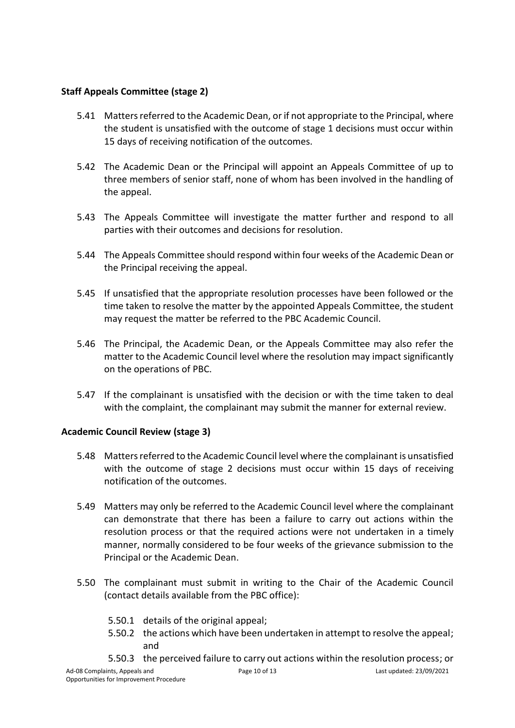## **Staff Appeals Committee (stage 2)**

- 5.41 Matters referred to the Academic Dean, or if not appropriate to the Principal, where the student is unsatisfied with the outcome of stage 1 decisions must occur within 15 days of receiving notification of the outcomes.
- 5.42 The Academic Dean or the Principal will appoint an Appeals Committee of up to three members of senior staff, none of whom has been involved in the handling of the appeal.
- 5.43 The Appeals Committee will investigate the matter further and respond to all parties with their outcomes and decisions for resolution.
- 5.44 The Appeals Committee should respond within four weeks of the Academic Dean or the Principal receiving the appeal.
- 5.45 If unsatisfied that the appropriate resolution processes have been followed or the time taken to resolve the matter by the appointed Appeals Committee, the student may request the matter be referred to the PBC Academic Council.
- 5.46 The Principal, the Academic Dean, or the Appeals Committee may also refer the matter to the Academic Council level where the resolution may impact significantly on the operations of PBC.
- 5.47 If the complainant is unsatisfied with the decision or with the time taken to deal with the complaint, the complainant may submit the manner for external review.

## **Academic Council Review (stage 3)**

- 5.48 Matters referred to the Academic Council level where the complainant is unsatisfied with the outcome of stage 2 decisions must occur within 15 days of receiving notification of the outcomes.
- 5.49 Matters may only be referred to the Academic Council level where the complainant can demonstrate that there has been a failure to carry out actions within the resolution process or that the required actions were not undertaken in a timely manner, normally considered to be four weeks of the grievance submission to the Principal or the Academic Dean.
- 5.50 The complainant must submit in writing to the Chair of the Academic Council (contact details available from the PBC office):
	- 5.50.1 details of the original appeal;
	- 5.50.2 the actions which have been undertaken in attempt to resolve the appeal; and
	- 5.50.3 the perceived failure to carry out actions within the resolution process; or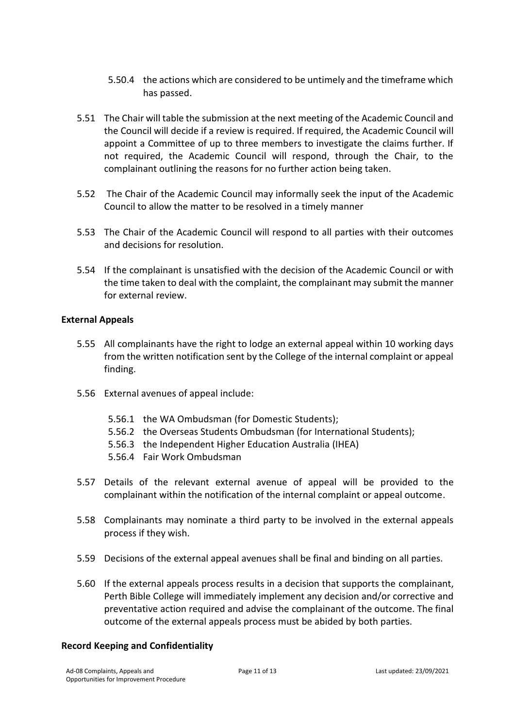- 5.50.4 the actions which are considered to be untimely and the timeframe which has passed.
- 5.51 The Chair will table the submission at the next meeting of the Academic Council and the Council will decide if a review is required. If required, the Academic Council will appoint a Committee of up to three members to investigate the claims further. If not required, the Academic Council will respond, through the Chair, to the complainant outlining the reasons for no further action being taken.
- 5.52 The Chair of the Academic Council may informally seek the input of the Academic Council to allow the matter to be resolved in a timely manner
- 5.53 The Chair of the Academic Council will respond to all parties with their outcomes and decisions for resolution.
- 5.54 If the complainant is unsatisfied with the decision of the Academic Council or with the time taken to deal with the complaint, the complainant may submit the manner for external review.

#### **External Appeals**

- 5.55 All complainants have the right to lodge an external appeal within 10 working days from the written notification sent by the College of the internal complaint or appeal finding.
- 5.56 External avenues of appeal include:
	- 5.56.1 the WA Ombudsman (for Domestic Students);
	- 5.56.2 the Overseas Students Ombudsman (for International Students);
	- 5.56.3 the Independent Higher Education Australia (IHEA)
	- 5.56.4 Fair Work Ombudsman
- 5.57 Details of the relevant external avenue of appeal will be provided to the complainant within the notification of the internal complaint or appeal outcome.
- 5.58 Complainants may nominate a third party to be involved in the external appeals process if they wish.
- 5.59 Decisions of the external appeal avenues shall be final and binding on all parties.
- 5.60 If the external appeals process results in a decision that supports the complainant, Perth Bible College will immediately implement any decision and/or corrective and preventative action required and advise the complainant of the outcome. The final outcome of the external appeals process must be abided by both parties.

#### **Record Keeping and Confidentiality**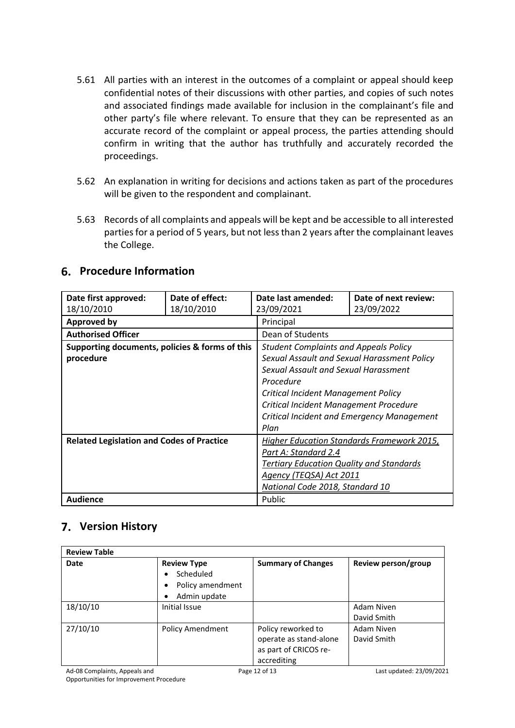- 5.61 All parties with an interest in the outcomes of a complaint or appeal should keep confidential notes of their discussions with other parties, and copies of such notes and associated findings made available for inclusion in the complainant's file and other party's file where relevant. To ensure that they can be represented as an accurate record of the complaint or appeal process, the parties attending should confirm in writing that the author has truthfully and accurately recorded the proceedings.
- 5.62 An explanation in writing for decisions and actions taken as part of the procedures will be given to the respondent and complainant.
- 5.63 Records of all complaints and appeals will be kept and be accessible to all interested parties for a period of 5 years, but not less than 2 years after the complainant leaves the College.

# **Procedure Information**

| Date first approved:                             | Date of effect: | Date last amended:                              | Date of next review: |  |  |
|--------------------------------------------------|-----------------|-------------------------------------------------|----------------------|--|--|
| 18/10/2010                                       | 18/10/2010      | 23/09/2021                                      | 23/09/2022           |  |  |
| <b>Approved by</b>                               |                 | Principal                                       |                      |  |  |
| <b>Authorised Officer</b>                        |                 | Dean of Students                                |                      |  |  |
| Supporting documents, policies & forms of this   |                 | <b>Student Complaints and Appeals Policy</b>    |                      |  |  |
| procedure                                        |                 | Sexual Assault and Sexual Harassment Policy     |                      |  |  |
|                                                  |                 | Sexual Assault and Sexual Harassment            |                      |  |  |
|                                                  |                 | Procedure                                       |                      |  |  |
|                                                  |                 | Critical Incident Management Policy             |                      |  |  |
|                                                  |                 | Critical Incident Management Procedure          |                      |  |  |
|                                                  |                 | Critical Incident and Emergency Management      |                      |  |  |
|                                                  |                 | Plan                                            |                      |  |  |
| <b>Related Legislation and Codes of Practice</b> |                 | Higher Education Standards Framework 2015,      |                      |  |  |
|                                                  |                 | Part A: Standard 2.4                            |                      |  |  |
|                                                  |                 | <b>Tertiary Education Quality and Standards</b> |                      |  |  |
|                                                  |                 | Agency (TEQSA) Act 2011                         |                      |  |  |
|                                                  |                 | National Code 2018, Standard 10                 |                      |  |  |
| <b>Audience</b>                                  |                 | Public                                          |                      |  |  |

# **Version History**

| <b>Review Table</b> |                                                                                            |                                                                                      |                           |  |
|---------------------|--------------------------------------------------------------------------------------------|--------------------------------------------------------------------------------------|---------------------------|--|
| <b>Date</b>         | <b>Review Type</b><br>Scheduled<br>٠<br>Policy amendment<br>$\bullet$<br>Admin update<br>٠ | <b>Summary of Changes</b>                                                            | Review person/group       |  |
| 18/10/10            | Initial Issue                                                                              |                                                                                      | Adam Niven<br>David Smith |  |
| 27/10/10            | <b>Policy Amendment</b>                                                                    | Policy reworked to<br>operate as stand-alone<br>as part of CRICOS re-<br>accrediting | Adam Niven<br>David Smith |  |